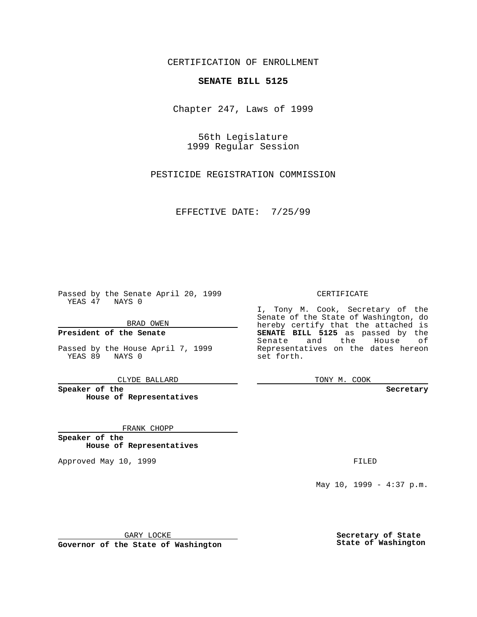CERTIFICATION OF ENROLLMENT

# **SENATE BILL 5125**

Chapter 247, Laws of 1999

56th Legislature 1999 Regular Session

PESTICIDE REGISTRATION COMMISSION

EFFECTIVE DATE: 7/25/99

Passed by the Senate April 20, 1999 YEAS 47 NAYS 0

BRAD OWEN

**President of the Senate**

Passed by the House April 7, 1999 YEAS 89 NAYS 0

CLYDE BALLARD

**Speaker of the House of Representatives**

FRANK CHOPP

**Speaker of the House of Representatives**

Approved May 10, 1999 **FILED** 

### CERTIFICATE

I, Tony M. Cook, Secretary of the Senate of the State of Washington, do hereby certify that the attached is **SENATE BILL 5125** as passed by the Senate and the House of Representatives on the dates hereon set forth.

TONY M. COOK

#### **Secretary**

May 10, 1999 - 4:37 p.m.

GARY LOCKE

**Governor of the State of Washington**

**Secretary of State State of Washington**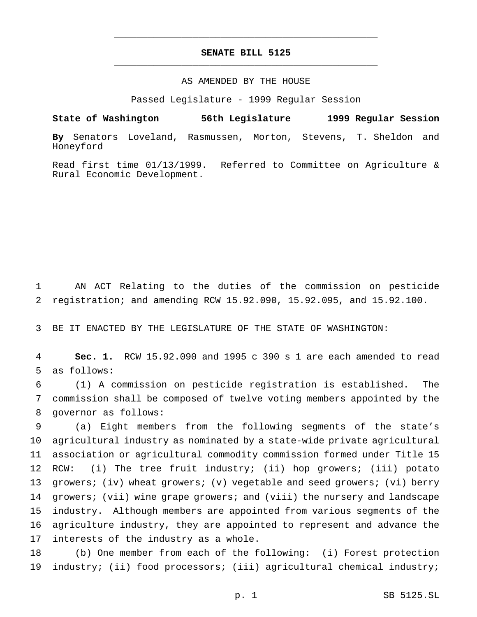## **SENATE BILL 5125** \_\_\_\_\_\_\_\_\_\_\_\_\_\_\_\_\_\_\_\_\_\_\_\_\_\_\_\_\_\_\_\_\_\_\_\_\_\_\_\_\_\_\_\_\_\_\_

\_\_\_\_\_\_\_\_\_\_\_\_\_\_\_\_\_\_\_\_\_\_\_\_\_\_\_\_\_\_\_\_\_\_\_\_\_\_\_\_\_\_\_\_\_\_\_

### AS AMENDED BY THE HOUSE

Passed Legislature - 1999 Regular Session

**State of Washington 56th Legislature 1999 Regular Session**

**By** Senators Loveland, Rasmussen, Morton, Stevens, T. Sheldon and Honeyford

Read first time 01/13/1999. Referred to Committee on Agriculture & Rural Economic Development.

1 AN ACT Relating to the duties of the commission on pesticide 2 registration; and amending RCW 15.92.090, 15.92.095, and 15.92.100.

3 BE IT ENACTED BY THE LEGISLATURE OF THE STATE OF WASHINGTON:

4 **Sec. 1.** RCW 15.92.090 and 1995 c 390 s 1 are each amended to read 5 as follows:

6 (1) A commission on pesticide registration is established. The 7 commission shall be composed of twelve voting members appointed by the 8 governor as follows:

 (a) Eight members from the following segments of the state's agricultural industry as nominated by a state-wide private agricultural association or agricultural commodity commission formed under Title 15 RCW: (i) The tree fruit industry; (ii) hop growers; (iii) potato growers; (iv) wheat growers; (v) vegetable and seed growers; (vi) berry 14 growers; (vii) wine grape growers; and (viii) the nursery and landscape industry. Although members are appointed from various segments of the agriculture industry, they are appointed to represent and advance the interests of the industry as a whole.

18 (b) One member from each of the following: (i) Forest protection 19 industry; (ii) food processors; (iii) agricultural chemical industry;

p. 1 SB 5125.SL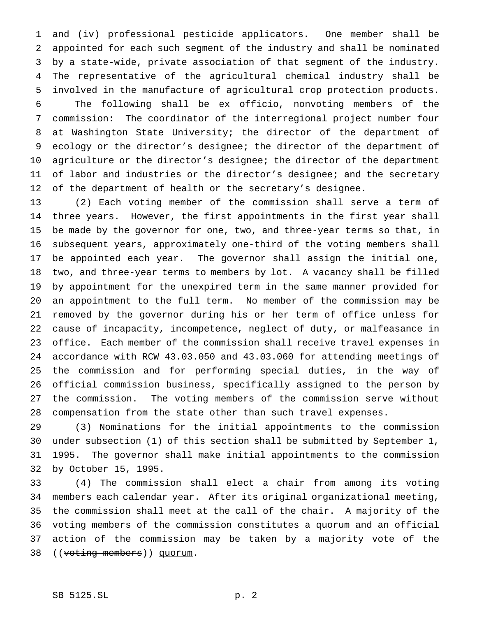and (iv) professional pesticide applicators. One member shall be appointed for each such segment of the industry and shall be nominated by a state-wide, private association of that segment of the industry. The representative of the agricultural chemical industry shall be involved in the manufacture of agricultural crop protection products.

 The following shall be ex officio, nonvoting members of the commission: The coordinator of the interregional project number four at Washington State University; the director of the department of ecology or the director's designee; the director of the department of agriculture or the director's designee; the director of the department of labor and industries or the director's designee; and the secretary of the department of health or the secretary's designee.

 (2) Each voting member of the commission shall serve a term of three years. However, the first appointments in the first year shall be made by the governor for one, two, and three-year terms so that, in subsequent years, approximately one-third of the voting members shall be appointed each year. The governor shall assign the initial one, two, and three-year terms to members by lot. A vacancy shall be filled by appointment for the unexpired term in the same manner provided for an appointment to the full term. No member of the commission may be removed by the governor during his or her term of office unless for cause of incapacity, incompetence, neglect of duty, or malfeasance in office. Each member of the commission shall receive travel expenses in accordance with RCW 43.03.050 and 43.03.060 for attending meetings of the commission and for performing special duties, in the way of official commission business, specifically assigned to the person by the commission. The voting members of the commission serve without compensation from the state other than such travel expenses.

 (3) Nominations for the initial appointments to the commission under subsection (1) of this section shall be submitted by September 1, 1995. The governor shall make initial appointments to the commission by October 15, 1995.

 (4) The commission shall elect a chair from among its voting members each calendar year. After its original organizational meeting, the commission shall meet at the call of the chair. A majority of the voting members of the commission constitutes a quorum and an official action of the commission may be taken by a majority vote of the 38 ((voting members)) quorum.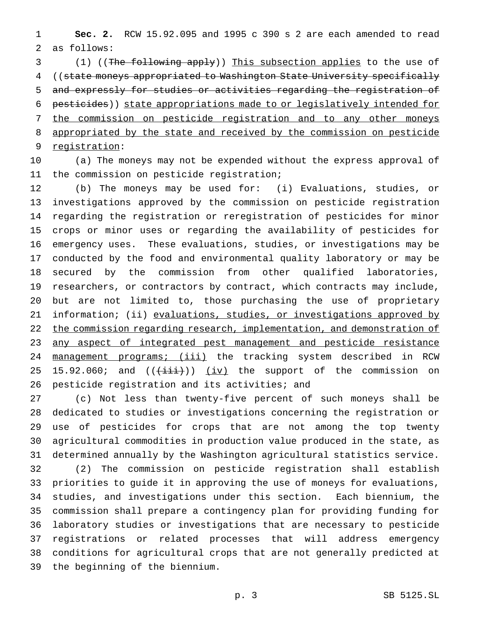**Sec. 2.** RCW 15.92.095 and 1995 c 390 s 2 are each amended to read as follows:

3 (1) ((The following apply)) This subsection applies to the use of ((state moneys appropriated to Washington State University specifically and expressly for studies or activities regarding the registration of pesticides)) state appropriations made to or legislatively intended for the commission on pesticide registration and to any other moneys appropriated by the state and received by the commission on pesticide registration:

 (a) The moneys may not be expended without the express approval of the commission on pesticide registration;

 (b) The moneys may be used for: (i) Evaluations, studies, or investigations approved by the commission on pesticide registration regarding the registration or reregistration of pesticides for minor crops or minor uses or regarding the availability of pesticides for emergency uses. These evaluations, studies, or investigations may be conducted by the food and environmental quality laboratory or may be secured by the commission from other qualified laboratories, researchers, or contractors by contract, which contracts may include, but are not limited to, those purchasing the use of proprietary 21 information; (ii) evaluations, studies, or investigations approved by 22 the commission regarding research, implementation, and demonstration of any aspect of integrated pest management and pesticide resistance 24 management programs; (iii) the tracking system described in RCW 25 15.92.060; and  $((\overrightarrow{1}i\overrightarrow{i}))(j\overrightarrow{iv})$  the support of the commission on pesticide registration and its activities; and

 (c) Not less than twenty-five percent of such moneys shall be dedicated to studies or investigations concerning the registration or use of pesticides for crops that are not among the top twenty agricultural commodities in production value produced in the state, as determined annually by the Washington agricultural statistics service.

 (2) The commission on pesticide registration shall establish priorities to guide it in approving the use of moneys for evaluations, studies, and investigations under this section. Each biennium, the commission shall prepare a contingency plan for providing funding for laboratory studies or investigations that are necessary to pesticide registrations or related processes that will address emergency conditions for agricultural crops that are not generally predicted at the beginning of the biennium.